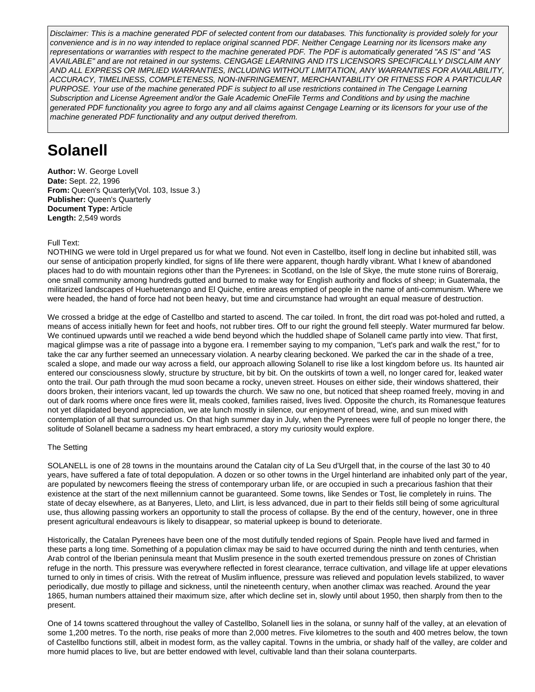Disclaimer: This is a machine generated PDF of selected content from our databases. This functionality is provided solely for your convenience and is in no way intended to replace original scanned PDF. Neither Cengage Learning nor its licensors make any representations or warranties with respect to the machine generated PDF. The PDF is automatically generated "AS IS" and "AS AVAILABLE" and are not retained in our systems. CENGAGE LEARNING AND ITS LICENSORS SPECIFICALLY DISCLAIM ANY AND ALL EXPRESS OR IMPLIED WARRANTIES, INCLUDING WITHOUT LIMITATION, ANY WARRANTIES FOR AVAILABILITY, ACCURACY, TIMELINESS, COMPLETENESS, NON-INFRINGEMENT, MERCHANTABILITY OR FITNESS FOR A PARTICULAR PURPOSE. Your use of the machine generated PDF is subject to all use restrictions contained in The Cengage Learning Subscription and License Agreement and/or the Gale Academic OneFile Terms and Conditions and by using the machine generated PDF functionality you agree to forgo any and all claims against Cengage Learning or its licensors for your use of the machine generated PDF functionality and any output derived therefrom.

# **Solanell**

**Author:** W. George Lovell **Date:** Sept. 22, 1996 **From:** Queen's Quarterly(Vol. 103, Issue 3.) **Publisher:** Queen's Quarterly **Document Type:** Article **Length:** 2,549 words

### Full Text:

NOTHING we were told in Urgel prepared us for what we found. Not even in Castellbo, itself long in decline but inhabited still, was our sense of anticipation properly kindled, for signs of life there were apparent, though hardly vibrant. What I knew of abandoned places had to do with mountain regions other than the Pyrenees: in Scotland, on the Isle of Skye, the mute stone ruins of Boreraig, one small community among hundreds gutted and burned to make way for English authority and flocks of sheep; in Guatemala, the militarized landscapes of Huehuetenango and El Quiche, entire areas emptied of people in the name of anti-communism. Where we were headed, the hand of force had not been heavy, but time and circumstance had wrought an equal measure of destruction.

We crossed a bridge at the edge of Castellbo and started to ascend. The car toiled. In front, the dirt road was pot-holed and rutted, a means of access initially hewn for feet and hoofs, not rubber tires. Off to our right the ground fell steeply. Water murmured far below. We continued upwards until we reached a wide bend beyond which the huddled shape of Solanell came partly into view. That first, magical glimpse was a rite of passage into a bygone era. I remember saying to my companion, "Let's park and walk the rest," for to take the car any further seemed an unnecessary violation. A nearby clearing beckoned. We parked the car in the shade of a tree, scaled a slope, and made our way across a field, our approach allowing Solanell to rise like a lost kingdom before us. Its haunted air entered our consciousness slowly, structure by structure, bit by bit. On the outskirts of town a well, no longer cared for, leaked water onto the trail. Our path through the mud soon became a rocky, uneven street. Houses on either side, their windows shattered, their doors broken, their interiors vacant, led up towards the church. We saw no one, but noticed that sheep roamed freely, moving in and out of dark rooms where once fires were lit, meals cooked, families raised, lives lived. Opposite the church, its Romanesque features not yet dilapidated beyond appreciation, we ate lunch mostly in silence, our enjoyment of bread, wine, and sun mixed with contemplation of all that surrounded us. On that high summer day in July, when the Pyrenees were full of people no longer there, the solitude of Solanell became a sadness my heart embraced, a story my curiosity would explore.

#### The Setting

SOLANELL is one of 28 towns in the mountains around the Catalan city of La Seu d'Urgell that, in the course of the last 30 to 40 years, have suffered a fate of total depopulation. A dozen or so other towns in the Urgel hinterland are inhabited only part of the year, are populated by newcomers fleeing the stress of contemporary urban life, or are occupied in such a precarious fashion that their existence at the start of the next millennium cannot be guaranteed. Some towns, like Sendes or Tost, lie completely in ruins. The state of decay elsewhere, as at Banyeres, Lleto, and Llirt, is less advanced, due in part to their fields still being of some agricultural use, thus allowing passing workers an opportunity to stall the process of collapse. By the end of the century, however, one in three present agricultural endeavours is likely to disappear, so material upkeep is bound to deteriorate.

Historically, the Catalan Pyrenees have been one of the most dutifully tended regions of Spain. People have lived and farmed in these parts a long time. Something of a population climax may be said to have occurred during the ninth and tenth centuries, when Arab control of the Iberian peninsula meant that Muslim presence in the south exerted tremendous pressure on zones of Christian refuge in the north. This pressure was everywhere reflected in forest clearance, terrace cultivation, and village life at upper elevations turned to only in times of crisis. With the retreat of Muslim influence, pressure was relieved and population levels stabilized, to waver periodically, due mostly to pillage and sickness, until the nineteenth century, when another climax was reached. Around the year 1865, human numbers attained their maximum size, after which decline set in, slowly until about 1950, then sharply from then to the present.

One of 14 towns scattered throughout the valley of Castellbo, Solanell lies in the solana, or sunny half of the valley, at an elevation of some 1,200 metres. To the north, rise peaks of more than 2,000 metres. Five kilometres to the south and 400 metres below, the town of Castellbo functions still, albeit in modest form, as the valley capital. Towns in the umbria, or shady half of the valley, are colder and more humid places to live, but are better endowed with level, cultivable land than their solana counterparts.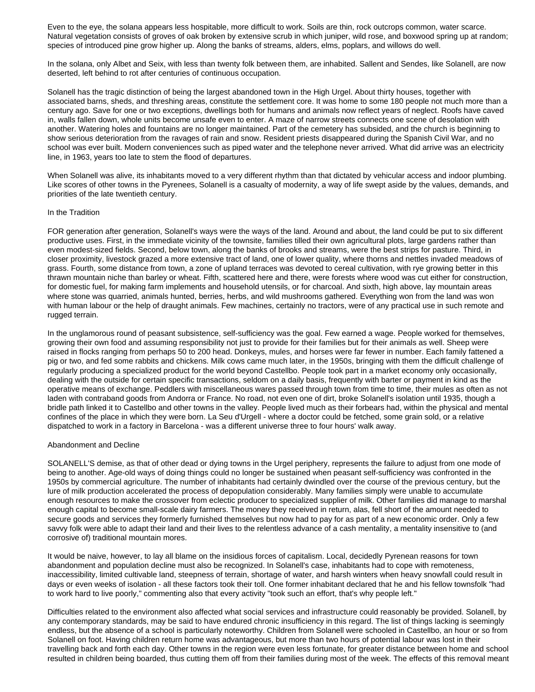Even to the eye, the solana appears less hospitable, more difficult to work. Soils are thin, rock outcrops common, water scarce. Natural vegetation consists of groves of oak broken by extensive scrub in which juniper, wild rose, and boxwood spring up at random; species of introduced pine grow higher up. Along the banks of streams, alders, elms, poplars, and willows do well.

In the solana, only Albet and Seix, with less than twenty folk between them, are inhabited. Sallent and Sendes, like Solanell, are now deserted, left behind to rot after centuries of continuous occupation.

Solanell has the tragic distinction of being the largest abandoned town in the High Urgel. About thirty houses, together with associated barns, sheds, and threshing areas, constitute the settlement core. It was home to some 180 people not much more than a century ago. Save for one or two exceptions, dwellings both for humans and animals now reflect years of neglect. Roofs have caved in, walls fallen down, whole units become unsafe even to enter. A maze of narrow streets connects one scene of desolation with another. Watering holes and fountains are no longer maintained. Part of the cemetery has subsided, and the church is beginning to show serious deterioration from the ravages of rain and snow. Resident priests disappeared during the Spanish Civil War, and no school was ever built. Modern conveniences such as piped water and the telephone never arrived. What did arrive was an electricity line, in 1963, years too late to stem the flood of departures.

When Solanell was alive, its inhabitants moved to a very different rhythm than that dictated by vehicular access and indoor plumbing. Like scores of other towns in the Pyrenees, Solanell is a casualty of modernity, a way of life swept aside by the values, demands, and priorities of the late twentieth century.

#### In the Tradition

FOR generation after generation, Solanell's ways were the ways of the land. Around and about, the land could be put to six different productive uses. First, in the immediate vicinity of the townsite, families tilled their own agricultural plots, large gardens rather than even modest-sized fields. Second, below town, along the banks of brooks and streams, were the best strips for pasture. Third, in closer proximity, livestock grazed a more extensive tract of land, one of lower quality, where thorns and nettles invaded meadows of grass. Fourth, some distance from town, a zone of upland terraces was devoted to cereal cultivation, with rye growing better in this thrawn mountain niche than barley or wheat. Fifth, scattered here and there, were forests where wood was cut either for construction, for domestic fuel, for making farm implements and household utensils, or for charcoal. And sixth, high above, lay mountain areas where stone was quarried, animals hunted, berries, herbs, and wild mushrooms gathered. Everything won from the land was won with human labour or the help of draught animals. Few machines, certainly no tractors, were of any practical use in such remote and rugged terrain.

In the unglamorous round of peasant subsistence, self-sufficiency was the goal. Few earned a wage. People worked for themselves, growing their own food and assuming responsibility not just to provide for their families but for their animals as well. Sheep were raised in flocks ranging from perhaps 50 to 200 head. Donkeys, mules, and horses were far fewer in number. Each family fattened a pig or two, and fed some rabbits and chickens. Milk cows came much later, in the 1950s, bringing with them the difficult challenge of regularly producing a specialized product for the world beyond Castellbo. People took part in a market economy only occasionally, dealing with the outside for certain specific transactions, seldom on a daily basis, frequently with barter or payment in kind as the operative means of exchange. Peddlers with miscellaneous wares passed through town from time to time, their mules as often as not laden with contraband goods from Andorra or France. No road, not even one of dirt, broke Solanell's isolation until 1935, though a bridle path linked it to Castellbo and other towns in the valley. People lived much as their forbears had, within the physical and mental confines of the place in which they were born. La Seu d'Urgell - where a doctor could be fetched, some grain sold, or a relative dispatched to work in a factory in Barcelona - was a different universe three to four hours' walk away.

#### Abandonment and Decline

SOLANELL'S demise, as that of other dead or dying towns in the Urgel periphery, represents the failure to adjust from one mode of being to another. Age-old ways of doing things could no longer be sustained when peasant self-sufficiency was confronted in the 1950s by commercial agriculture. The number of inhabitants had certainly dwindled over the course of the previous century, but the lure of milk production accelerated the process of depopulation considerably. Many families simply were unable to accumulate enough resources to make the crossover from eclectic producer to specialized supplier of milk. Other families did manage to marshal enough capital to become small-scale dairy farmers. The money they received in return, alas, fell short of the amount needed to secure goods and services they formerly furnished themselves but now had to pay for as part of a new economic order. Only a few savvy folk were able to adapt their land and their lives to the relentless advance of a cash mentality, a mentality insensitive to (and corrosive of) traditional mountain mores.

It would be naive, however, to lay all blame on the insidious forces of capitalism. Local, decidedly Pyrenean reasons for town abandonment and population decline must also be recognized. In Solanell's case, inhabitants had to cope with remoteness, inaccessibility, limited cultivable land, steepness of terrain, shortage of water, and harsh winters when heavy snowfall could result in days or even weeks of isolation - all these factors took their toll. One former inhabitant declared that he and his fellow townsfolk "had to work hard to live poorly," commenting also that every activity "took such an effort, that's why people left."

Difficulties related to the environment also affected what social services and infrastructure could reasonably be provided. Solanell, by any contemporary standards, may be said to have endured chronic insufficiency in this regard. The list of things lacking is seemingly endless, but the absence of a school is particularly noteworthy. Children from Solanell were schooled in Castellbo, an hour or so from Solanell on foot. Having children return home was advantageous, but more than two hours of potential labour was lost in their travelling back and forth each day. Other towns in the region were even less fortunate, for greater distance between home and school resulted in children being boarded, thus cutting them off from their families during most of the week. The effects of this removal meant